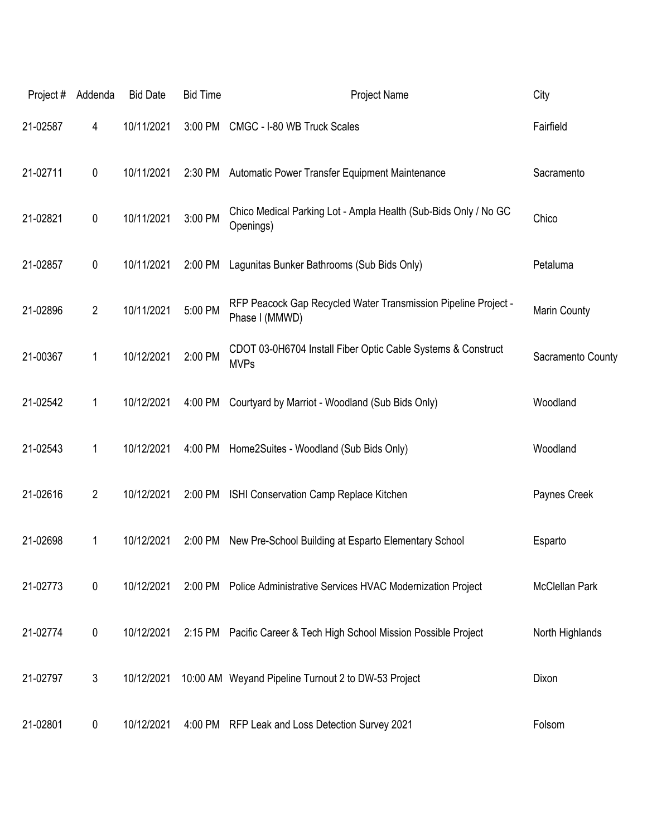| Project# | Addenda        | <b>Bid Date</b> | <b>Bid Time</b> | Project Name                                                                     | City                  |
|----------|----------------|-----------------|-----------------|----------------------------------------------------------------------------------|-----------------------|
| 21-02587 | 4              | 10/11/2021      | 3:00 PM         | CMGC - I-80 WB Truck Scales                                                      | Fairfield             |
| 21-02711 | 0              | 10/11/2021      |                 | 2:30 PM Automatic Power Transfer Equipment Maintenance                           | Sacramento            |
| 21-02821 | 0              | 10/11/2021      | 3:00 PM         | Chico Medical Parking Lot - Ampla Health (Sub-Bids Only / No GC<br>Openings)     | Chico                 |
| 21-02857 | $\pmb{0}$      | 10/11/2021      | 2:00 PM         | Lagunitas Bunker Bathrooms (Sub Bids Only)                                       | Petaluma              |
| 21-02896 | $\overline{2}$ | 10/11/2021      | 5:00 PM         | RFP Peacock Gap Recycled Water Transmission Pipeline Project -<br>Phase I (MMWD) | Marin County          |
| 21-00367 | 1              | 10/12/2021      | 2:00 PM         | CDOT 03-0H6704 Install Fiber Optic Cable Systems & Construct<br><b>MVPs</b>      | Sacramento County     |
| 21-02542 | 1              | 10/12/2021      | 4:00 PM         | Courtyard by Marriot - Woodland (Sub Bids Only)                                  | Woodland              |
| 21-02543 | 1              | 10/12/2021      | 4:00 PM         | Home2Suites - Woodland (Sub Bids Only)                                           | Woodland              |
| 21-02616 | $\overline{2}$ | 10/12/2021      | 2:00 PM         | ISHI Conservation Camp Replace Kitchen                                           | Paynes Creek          |
| 21-02698 | 1              | 10/12/2021      | 2:00 PM         | New Pre-School Building at Esparto Elementary School                             | Esparto               |
| 21-02773 | $\pmb{0}$      | 10/12/2021      |                 | 2:00 PM Police Administrative Services HVAC Modernization Project                | <b>McClellan Park</b> |
| 21-02774 | $\pmb{0}$      | 10/12/2021      |                 | 2:15 PM Pacific Career & Tech High School Mission Possible Project               | North Highlands       |
| 21-02797 | 3              | 10/12/2021      |                 | 10:00 AM Weyand Pipeline Turnout 2 to DW-53 Project                              | Dixon                 |
| 21-02801 | $\pmb{0}$      | 10/12/2021      |                 | 4:00 PM RFP Leak and Loss Detection Survey 2021                                  | Folsom                |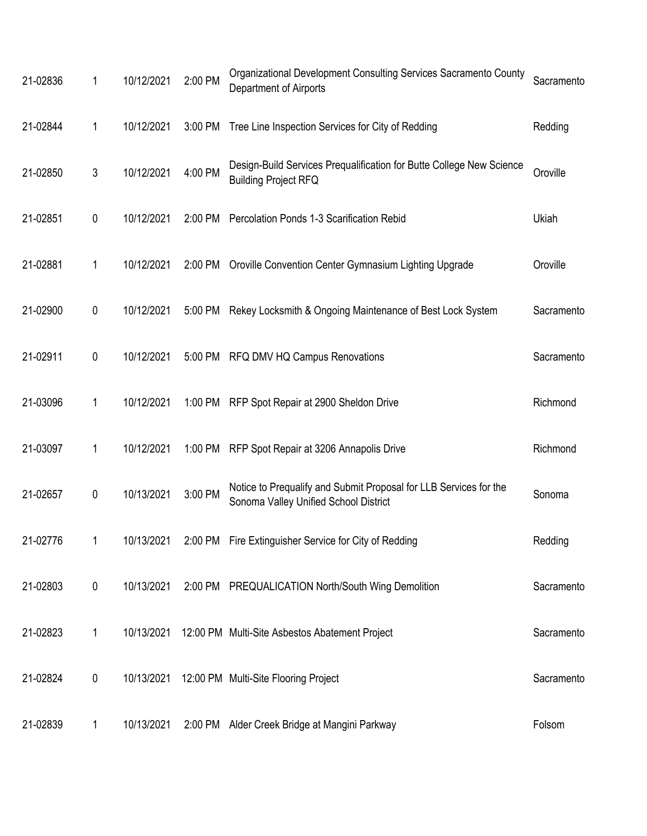| 21-02836 | 1 | 10/12/2021 | 2:00 PM | Organizational Development Consulting Services Sacramento County<br>Department of Airports                 | Sacramento |
|----------|---|------------|---------|------------------------------------------------------------------------------------------------------------|------------|
| 21-02844 | 1 | 10/12/2021 | 3:00 PM | Tree Line Inspection Services for City of Redding                                                          | Redding    |
| 21-02850 | 3 | 10/12/2021 | 4:00 PM | Design-Build Services Prequalification for Butte College New Science<br><b>Building Project RFQ</b>        | Oroville   |
| 21-02851 | 0 | 10/12/2021 | 2:00 PM | Percolation Ponds 1-3 Scarification Rebid                                                                  | Ukiah      |
| 21-02881 | 1 | 10/12/2021 | 2:00 PM | Oroville Convention Center Gymnasium Lighting Upgrade                                                      | Oroville   |
| 21-02900 | 0 | 10/12/2021 | 5:00 PM | Rekey Locksmith & Ongoing Maintenance of Best Lock System                                                  | Sacramento |
| 21-02911 | 0 | 10/12/2021 | 5:00 PM | RFQ DMV HQ Campus Renovations                                                                              | Sacramento |
| 21-03096 | 1 | 10/12/2021 | 1:00 PM | RFP Spot Repair at 2900 Sheldon Drive                                                                      | Richmond   |
| 21-03097 | 1 | 10/12/2021 | 1:00 PM | RFP Spot Repair at 3206 Annapolis Drive                                                                    | Richmond   |
| 21-02657 | 0 | 10/13/2021 | 3:00 PM | Notice to Prequalify and Submit Proposal for LLB Services for the<br>Sonoma Valley Unified School District | Sonoma     |
| 21-02776 |   |            |         | 10/13/2021 2:00 PM Fire Extinguisher Service for City of Redding                                           | Redding    |
| 21-02803 | 0 | 10/13/2021 |         | 2:00 PM PREQUALICATION North/South Wing Demolition                                                         | Sacramento |
| 21-02823 | 1 | 10/13/2021 |         | 12:00 PM Multi-Site Asbestos Abatement Project                                                             | Sacramento |
| 21-02824 | 0 | 10/13/2021 |         | 12:00 PM Multi-Site Flooring Project                                                                       | Sacramento |
| 21-02839 | 1 | 10/13/2021 |         | 2:00 PM Alder Creek Bridge at Mangini Parkway                                                              | Folsom     |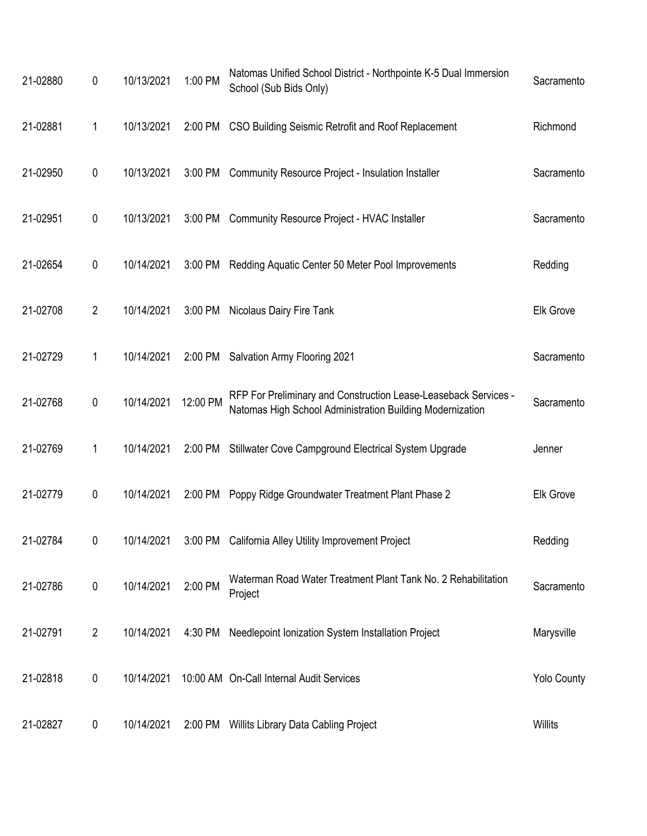| 21-02880 | 0              | 10/13/2021 | 1:00 PM  | Natomas Unified School District - Northpointe K-5 Dual Immersion<br>School (Sub Bids Only)                                   | Sacramento         |
|----------|----------------|------------|----------|------------------------------------------------------------------------------------------------------------------------------|--------------------|
| 21-02881 | 1              | 10/13/2021 |          | 2:00 PM CSO Building Seismic Retrofit and Roof Replacement                                                                   | Richmond           |
| 21-02950 | 0              | 10/13/2021 | 3:00 PM  | <b>Community Resource Project - Insulation Installer</b>                                                                     | Sacramento         |
| 21-02951 | 0              | 10/13/2021 | 3:00 PM  | <b>Community Resource Project - HVAC Installer</b>                                                                           | Sacramento         |
| 21-02654 | 0              | 10/14/2021 | 3:00 PM  | Redding Aquatic Center 50 Meter Pool Improvements                                                                            | Redding            |
| 21-02708 | $\overline{2}$ | 10/14/2021 | 3:00 PM  | Nicolaus Dairy Fire Tank                                                                                                     | <b>Elk Grove</b>   |
| 21-02729 | 1              | 10/14/2021 | 2:00 PM  | Salvation Army Flooring 2021                                                                                                 | Sacramento         |
| 21-02768 | $\pmb{0}$      | 10/14/2021 | 12:00 PM | RFP For Preliminary and Construction Lease-Leaseback Services -<br>Natomas High School Administration Building Modernization | Sacramento         |
| 21-02769 | 1              | 10/14/2021 | 2:00 PM  | Stillwater Cove Campground Electrical System Upgrade                                                                         | Jenner             |
| 21-02779 | 0              | 10/14/2021 | 2:00 PM  | Poppy Ridge Groundwater Treatment Plant Phase 2                                                                              | <b>Elk Grove</b>   |
| 21-02784 | 0              |            |          | 10/14/2021 3:00 PM California Alley Utility Improvement Project                                                              | Redding            |
| 21-02786 | $\pmb{0}$      | 10/14/2021 | 2:00 PM  | Waterman Road Water Treatment Plant Tank No. 2 Rehabilitation<br>Project                                                     | Sacramento         |
| 21-02791 | $\overline{2}$ | 10/14/2021 | 4:30 PM  | Needlepoint Ionization System Installation Project                                                                           | Marysville         |
| 21-02818 | 0              | 10/14/2021 |          | 10:00 AM On-Call Internal Audit Services                                                                                     | <b>Yolo County</b> |
| 21-02827 | 0              | 10/14/2021 | 2:00 PM  | Willits Library Data Cabling Project                                                                                         | Willits            |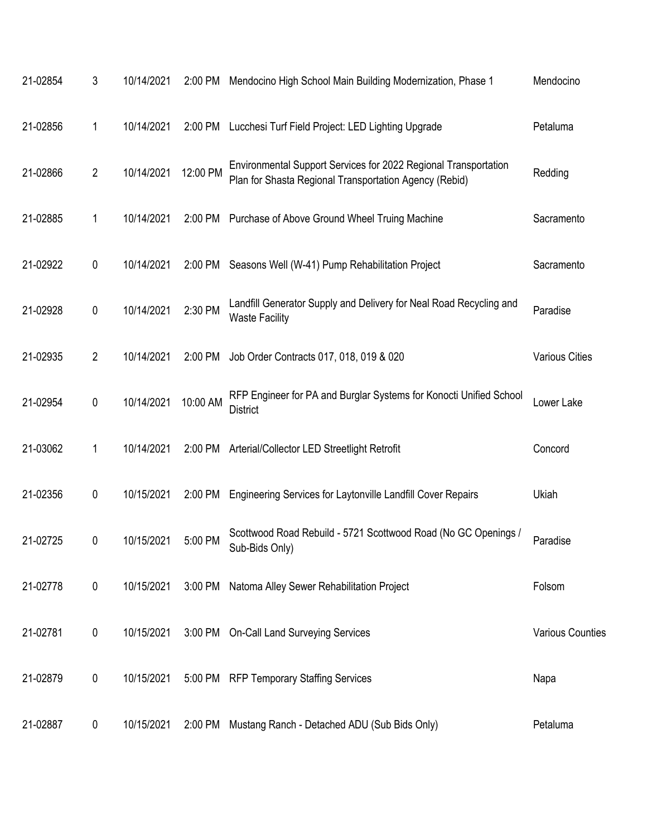| 21-02854 | $\mathfrak{Z}$ | 10/14/2021 | 2:00 PM  | Mendocino High School Main Building Modernization, Phase 1                                                                | Mendocino               |
|----------|----------------|------------|----------|---------------------------------------------------------------------------------------------------------------------------|-------------------------|
| 21-02856 | 1              | 10/14/2021 | 2:00 PM  | Lucchesi Turf Field Project: LED Lighting Upgrade                                                                         | Petaluma                |
| 21-02866 | $\overline{2}$ | 10/14/2021 | 12:00 PM | Environmental Support Services for 2022 Regional Transportation<br>Plan for Shasta Regional Transportation Agency (Rebid) | Redding                 |
| 21-02885 | 1              | 10/14/2021 | 2:00 PM  | Purchase of Above Ground Wheel Truing Machine                                                                             | Sacramento              |
| 21-02922 | $\pmb{0}$      | 10/14/2021 | 2:00 PM  | Seasons Well (W-41) Pump Rehabilitation Project                                                                           | Sacramento              |
| 21-02928 | $\mathbf 0$    | 10/14/2021 | 2:30 PM  | Landfill Generator Supply and Delivery for Neal Road Recycling and<br><b>Waste Facility</b>                               | Paradise                |
| 21-02935 | $\overline{2}$ | 10/14/2021 | 2:00 PM  | Job Order Contracts 017, 018, 019 & 020                                                                                   | <b>Various Cities</b>   |
| 21-02954 | $\mathbf 0$    | 10/14/2021 | 10:00 AM | RFP Engineer for PA and Burglar Systems for Konocti Unified School<br><b>District</b>                                     | Lower Lake              |
| 21-03062 | 1              | 10/14/2021 | 2:00 PM  | Arterial/Collector LED Streetlight Retrofit                                                                               | Concord                 |
| 21-02356 | 0              | 10/15/2021 | 2:00 PM  | Engineering Services for Laytonville Landfill Cover Repairs                                                               | Ukiah                   |
| 21-02725 | 0              | 10/15/2021 | 5:00 PM  | Scottwood Road Rebuild - 5721 Scottwood Road (No GC Openings /<br>Sub-Bids Only)                                          | Paradise                |
| 21-02778 | $\pmb{0}$      | 10/15/2021 | 3:00 PM  | Natoma Alley Sewer Rehabilitation Project                                                                                 | Folsom                  |
| 21-02781 | $\pmb{0}$      | 10/15/2021 | 3:00 PM  | <b>On-Call Land Surveying Services</b>                                                                                    | <b>Various Counties</b> |
| 21-02879 | 0              | 10/15/2021 | 5:00 PM  | <b>RFP Temporary Staffing Services</b>                                                                                    | Napa                    |
| 21-02887 | 0              | 10/15/2021 | 2:00 PM  | Mustang Ranch - Detached ADU (Sub Bids Only)                                                                              | Petaluma                |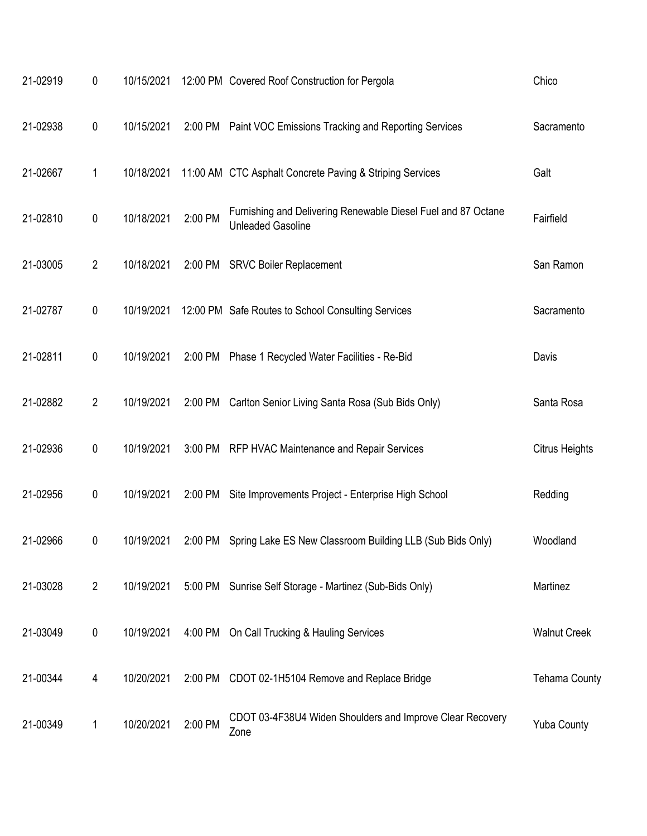| 21-02919 | $\pmb{0}$      | 10/15/2021 |         | 12:00 PM Covered Roof Construction for Pergola                                            | Chico                 |
|----------|----------------|------------|---------|-------------------------------------------------------------------------------------------|-----------------------|
| 21-02938 | $\pmb{0}$      | 10/15/2021 |         | 2:00 PM Paint VOC Emissions Tracking and Reporting Services                               | Sacramento            |
| 21-02667 | 1              | 10/18/2021 |         | 11:00 AM CTC Asphalt Concrete Paving & Striping Services                                  | Galt                  |
| 21-02810 | $\mathbf 0$    | 10/18/2021 | 2:00 PM | Furnishing and Delivering Renewable Diesel Fuel and 87 Octane<br><b>Unleaded Gasoline</b> | Fairfield             |
| 21-03005 | $\overline{2}$ | 10/18/2021 | 2:00 PM | <b>SRVC Boiler Replacement</b>                                                            | San Ramon             |
| 21-02787 | $\pmb{0}$      | 10/19/2021 |         | 12:00 PM Safe Routes to School Consulting Services                                        | Sacramento            |
| 21-02811 | $\pmb{0}$      | 10/19/2021 | 2:00 PM | Phase 1 Recycled Water Facilities - Re-Bid                                                | Davis                 |
| 21-02882 | $\overline{2}$ | 10/19/2021 | 2:00 PM | Carlton Senior Living Santa Rosa (Sub Bids Only)                                          | Santa Rosa            |
| 21-02936 | 0              | 10/19/2021 |         | 3:00 PM RFP HVAC Maintenance and Repair Services                                          | <b>Citrus Heights</b> |
| 21-02956 | $\pmb{0}$      | 10/19/2021 | 2:00 PM | Site Improvements Project - Enterprise High School                                        | Redding               |
| 21-02966 | 0              | 10/19/2021 | 2:00 PM | Spring Lake ES New Classroom Building LLB (Sub Bids Only)                                 | Woodland              |
| 21-03028 | $\overline{2}$ | 10/19/2021 |         | 5:00 PM Sunrise Self Storage - Martinez (Sub-Bids Only)                                   | Martinez              |
| 21-03049 | 0              | 10/19/2021 |         | 4:00 PM On Call Trucking & Hauling Services                                               | <b>Walnut Creek</b>   |
| 21-00344 | 4              | 10/20/2021 | 2:00 PM | CDOT 02-1H5104 Remove and Replace Bridge                                                  | <b>Tehama County</b>  |
| 21-00349 | 1              | 10/20/2021 | 2:00 PM | CDOT 03-4F38U4 Widen Shoulders and Improve Clear Recovery<br>Zone                         | <b>Yuba County</b>    |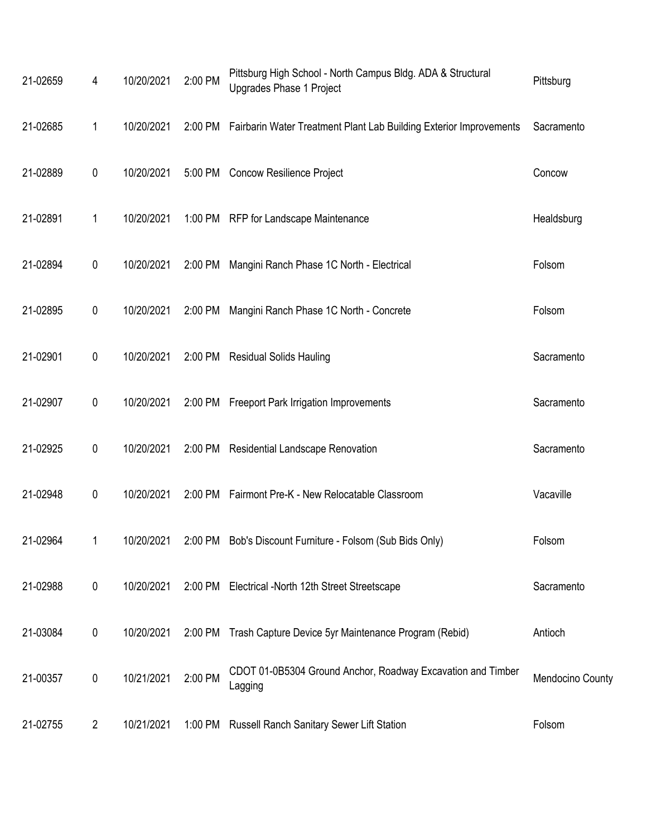| 21-02659 | 4              | 10/20/2021 | 2:00 PM | Pittsburg High School - North Campus Bldg. ADA & Structural<br>Upgrades Phase 1 Project | Pittsburg        |
|----------|----------------|------------|---------|-----------------------------------------------------------------------------------------|------------------|
| 21-02685 | 1              | 10/20/2021 |         | 2:00 PM Fairbarin Water Treatment Plant Lab Building Exterior Improvements              | Sacramento       |
| 21-02889 | 0              | 10/20/2021 |         | 5:00 PM Concow Resilience Project                                                       | Concow           |
| 21-02891 | 1              | 10/20/2021 |         | 1:00 PM RFP for Landscape Maintenance                                                   | Healdsburg       |
| 21-02894 | $\mathbf 0$    | 10/20/2021 | 2:00 PM | Mangini Ranch Phase 1C North - Electrical                                               | Folsom           |
| 21-02895 | 0              | 10/20/2021 |         | 2:00 PM Mangini Ranch Phase 1C North - Concrete                                         | Folsom           |
| 21-02901 | $\pmb{0}$      | 10/20/2021 |         | 2:00 PM Residual Solids Hauling                                                         | Sacramento       |
| 21-02907 | $\mathbf 0$    | 10/20/2021 |         | 2:00 PM Freeport Park Irrigation Improvements                                           | Sacramento       |
| 21-02925 | $\mathbf 0$    | 10/20/2021 |         | 2:00 PM Residential Landscape Renovation                                                | Sacramento       |
| 21-02948 | $\pmb{0}$      | 10/20/2021 |         | 2:00 PM Fairmont Pre-K - New Relocatable Classroom                                      | Vacaville        |
| 21-02964 |                | 10/20/2021 |         | 2:00 PM Bob's Discount Furniture - Folsom (Sub Bids Only)                               | Folsom           |
| 21-02988 | $\mathbf 0$    | 10/20/2021 |         | 2:00 PM Electrical -North 12th Street Streetscape                                       | Sacramento       |
| 21-03084 | $\pmb{0}$      | 10/20/2021 | 2:00 PM | Trash Capture Device 5yr Maintenance Program (Rebid)                                    | Antioch          |
| 21-00357 | $\pmb{0}$      | 10/21/2021 | 2:00 PM | CDOT 01-0B5304 Ground Anchor, Roadway Excavation and Timber<br>Lagging                  | Mendocino County |
| 21-02755 | $\overline{2}$ | 10/21/2021 | 1:00 PM | Russell Ranch Sanitary Sewer Lift Station                                               | Folsom           |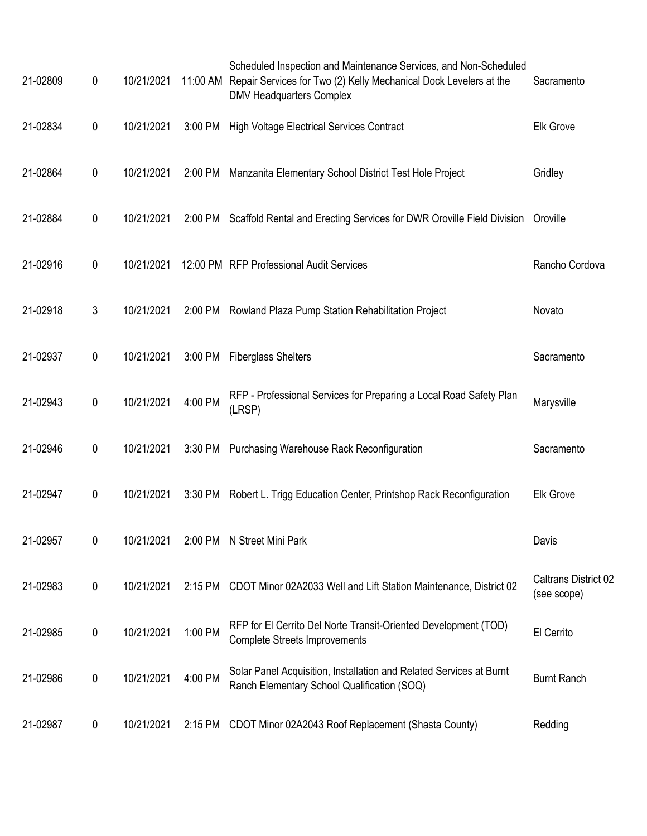| 21-02809 | 0           | 10/21/2021 |           | Scheduled Inspection and Maintenance Services, and Non-Scheduled<br>11:00 AM Repair Services for Two (2) Kelly Mechanical Dock Levelers at the<br><b>DMV Headquarters Complex</b> | Sacramento                          |
|----------|-------------|------------|-----------|-----------------------------------------------------------------------------------------------------------------------------------------------------------------------------------|-------------------------------------|
| 21-02834 | $\pmb{0}$   | 10/21/2021 | 3:00 PM   | <b>High Voltage Electrical Services Contract</b>                                                                                                                                  | <b>Elk Grove</b>                    |
| 21-02864 | $\mathbf 0$ | 10/21/2021 | 2:00 PM   | Manzanita Elementary School District Test Hole Project                                                                                                                            | Gridley                             |
| 21-02884 | $\mathbf 0$ | 10/21/2021 |           | 2:00 PM Scaffold Rental and Erecting Services for DWR Oroville Field Division                                                                                                     | Oroville                            |
| 21-02916 | $\mathbf 0$ | 10/21/2021 |           | 12:00 PM RFP Professional Audit Services                                                                                                                                          | Rancho Cordova                      |
| 21-02918 | 3           | 10/21/2021 |           | 2:00 PM Rowland Plaza Pump Station Rehabilitation Project                                                                                                                         | Novato                              |
| 21-02937 | $\mathbf 0$ | 10/21/2021 | 3:00 PM   | <b>Fiberglass Shelters</b>                                                                                                                                                        | Sacramento                          |
| 21-02943 | $\pmb{0}$   | 10/21/2021 | 4:00 PM   | RFP - Professional Services for Preparing a Local Road Safety Plan<br>(LRSP)                                                                                                      | Marysville                          |
| 21-02946 | 0           | 10/21/2021 |           | 3:30 PM Purchasing Warehouse Rack Reconfiguration                                                                                                                                 | Sacramento                          |
| 21-02947 | $\mathbf 0$ | 10/21/2021 |           | 3:30 PM Robert L. Trigg Education Center, Printshop Rack Reconfiguration                                                                                                          | <b>Elk Grove</b>                    |
| 21-02957 | 0           | 10/21/2021 |           | 2:00 PM N Street Mini Park                                                                                                                                                        | Davis                               |
| 21-02983 | $\mathbf 0$ | 10/21/2021 | $2:15$ PM | CDOT Minor 02A2033 Well and Lift Station Maintenance, District 02                                                                                                                 | Caltrans District 02<br>(see scope) |
| 21-02985 | 0           | 10/21/2021 | 1:00 PM   | RFP for El Cerrito Del Norte Transit-Oriented Development (TOD)<br><b>Complete Streets Improvements</b>                                                                           | El Cerrito                          |
| 21-02986 | 0           | 10/21/2021 | 4:00 PM   | Solar Panel Acquisition, Installation and Related Services at Burnt<br>Ranch Elementary School Qualification (SOQ)                                                                | <b>Burnt Ranch</b>                  |
| 21-02987 | 0           | 10/21/2021 | $2:15$ PM | CDOT Minor 02A2043 Roof Replacement (Shasta County)                                                                                                                               | Redding                             |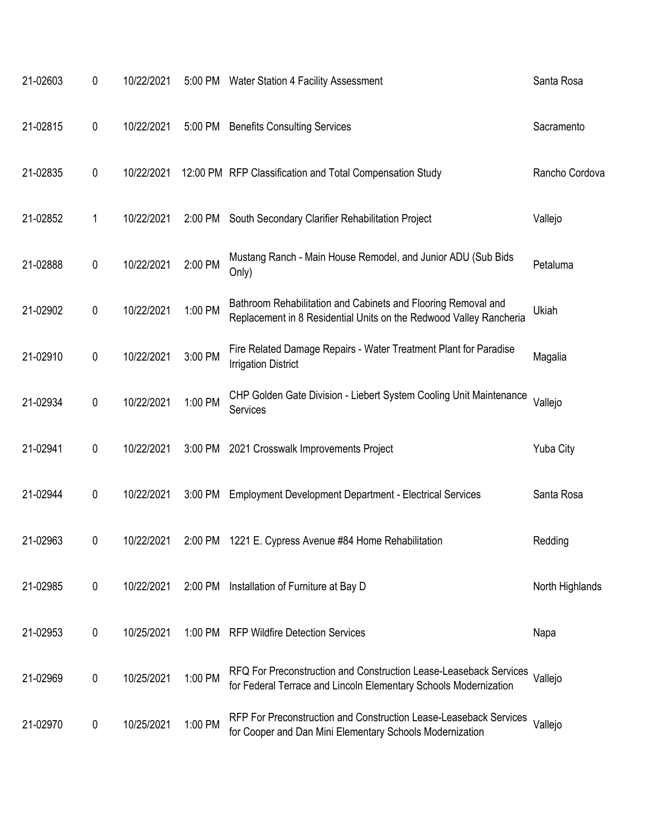| 21-02603 | 0           | 10/22/2021 |         | 5:00 PM Water Station 4 Facility Assessment                                                                                           | Santa Rosa      |
|----------|-------------|------------|---------|---------------------------------------------------------------------------------------------------------------------------------------|-----------------|
| 21-02815 | 0           | 10/22/2021 | 5:00 PM | <b>Benefits Consulting Services</b>                                                                                                   | Sacramento      |
| 21-02835 | 0           | 10/22/2021 |         | 12:00 PM RFP Classification and Total Compensation Study                                                                              | Rancho Cordova  |
| 21-02852 | 1           | 10/22/2021 | 2:00 PM | South Secondary Clarifier Rehabilitation Project                                                                                      | Vallejo         |
| 21-02888 | $\mathbf 0$ | 10/22/2021 | 2:00 PM | Mustang Ranch - Main House Remodel, and Junior ADU (Sub Bids<br>Only)                                                                 | Petaluma        |
| 21-02902 | 0           | 10/22/2021 | 1:00 PM | Bathroom Rehabilitation and Cabinets and Flooring Removal and<br>Replacement in 8 Residential Units on the Redwood Valley Rancheria   | Ukiah           |
| 21-02910 | 0           | 10/22/2021 | 3:00 PM | Fire Related Damage Repairs - Water Treatment Plant for Paradise<br><b>Irrigation District</b>                                        | Magalia         |
| 21-02934 | 0           | 10/22/2021 | 1:00 PM | CHP Golden Gate Division - Liebert System Cooling Unit Maintenance<br>Services                                                        | Vallejo         |
| 21-02941 | 0           | 10/22/2021 | 3:00 PM | 2021 Crosswalk Improvements Project                                                                                                   | Yuba City       |
| 21-02944 | 0           | 10/22/2021 | 3:00 PM | <b>Employment Development Department - Electrical Services</b>                                                                        | Santa Rosa      |
| 21-02963 | 0           | 10/22/2021 | 2:00 PM | 1221 E. Cypress Avenue #84 Home Rehabilitation                                                                                        | Redding         |
| 21-02985 | 0           | 10/22/2021 | 2:00 PM | Installation of Furniture at Bay D                                                                                                    | North Highlands |
| 21-02953 | 0           | 10/25/2021 | 1:00 PM | <b>RFP Wildfire Detection Services</b>                                                                                                | Napa            |
| 21-02969 | 0           | 10/25/2021 | 1:00 PM | RFQ For Preconstruction and Construction Lease-Leaseback Services<br>for Federal Terrace and Lincoln Elementary Schools Modernization | Vallejo         |
| 21-02970 | 0           | 10/25/2021 | 1:00 PM | RFP For Preconstruction and Construction Lease-Leaseback Services<br>for Cooper and Dan Mini Elementary Schools Modernization         | Vallejo         |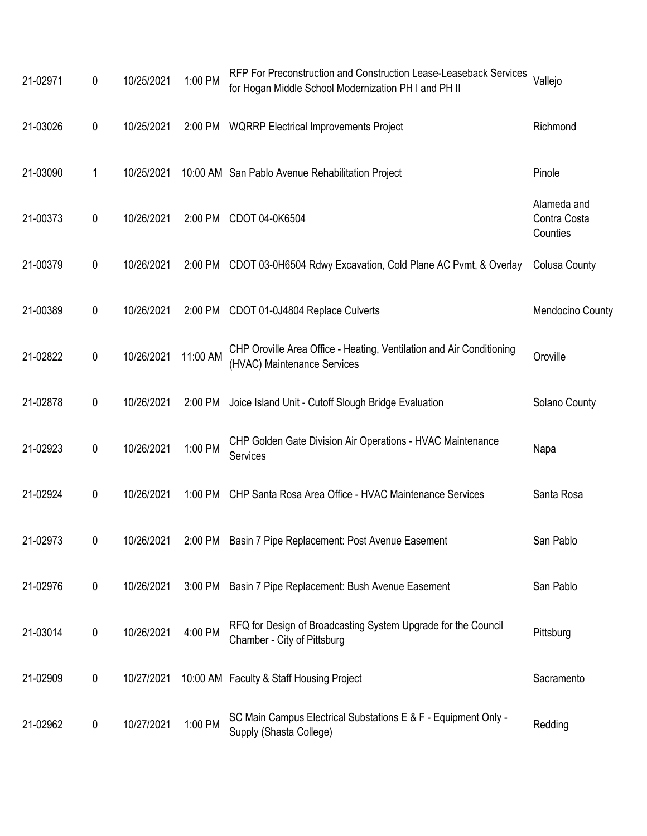| 21-02971 | 0           | 10/25/2021 | 1:00 PM  | RFP For Preconstruction and Construction Lease-Leaseback Services<br>for Hogan Middle School Modernization PH I and PH II | Vallejo                                 |
|----------|-------------|------------|----------|---------------------------------------------------------------------------------------------------------------------------|-----------------------------------------|
| 21-03026 | 0           | 10/25/2021 |          | 2:00 PM WQRRP Electrical Improvements Project                                                                             | Richmond                                |
| 21-03090 | 1           | 10/25/2021 |          | 10:00 AM San Pablo Avenue Rehabilitation Project                                                                          | Pinole                                  |
| 21-00373 | 0           | 10/26/2021 | 2:00 PM  | CDOT 04-0K6504                                                                                                            | Alameda and<br>Contra Costa<br>Counties |
| 21-00379 | 0           | 10/26/2021 |          | 2:00 PM CDOT 03-0H6504 Rdwy Excavation, Cold Plane AC Pvmt, & Overlay                                                     | <b>Colusa County</b>                    |
| 21-00389 | 0           | 10/26/2021 |          | 2:00 PM CDOT 01-0J4804 Replace Culverts                                                                                   | Mendocino County                        |
| 21-02822 | $\pmb{0}$   | 10/26/2021 | 11:00 AM | CHP Oroville Area Office - Heating, Ventilation and Air Conditioning<br>(HVAC) Maintenance Services                       | Oroville                                |
| 21-02878 | 0           | 10/26/2021 | 2:00 PM  | Joice Island Unit - Cutoff Slough Bridge Evaluation                                                                       | Solano County                           |
| 21-02923 | 0           | 10/26/2021 | 1:00 PM  | CHP Golden Gate Division Air Operations - HVAC Maintenance<br>Services                                                    | Napa                                    |
| 21-02924 | 0           | 10/26/2021 | 1:00 PM  | CHP Santa Rosa Area Office - HVAC Maintenance Services                                                                    | Santa Rosa                              |
| 21-02973 | 0           |            |          | 10/26/2021 2:00 PM Basin 7 Pipe Replacement: Post Avenue Easement                                                         | San Pablo                               |
| 21-02976 | $\mathbf 0$ | 10/26/2021 | 3:00 PM  | Basin 7 Pipe Replacement: Bush Avenue Easement                                                                            | San Pablo                               |
| 21-03014 | $\mathbf 0$ | 10/26/2021 | 4:00 PM  | RFQ for Design of Broadcasting System Upgrade for the Council<br>Chamber - City of Pittsburg                              | Pittsburg                               |
| 21-02909 | 0           | 10/27/2021 |          | 10:00 AM Faculty & Staff Housing Project                                                                                  | Sacramento                              |
| 21-02962 | 0           | 10/27/2021 | 1:00 PM  | SC Main Campus Electrical Substations E & F - Equipment Only -<br>Supply (Shasta College)                                 | Redding                                 |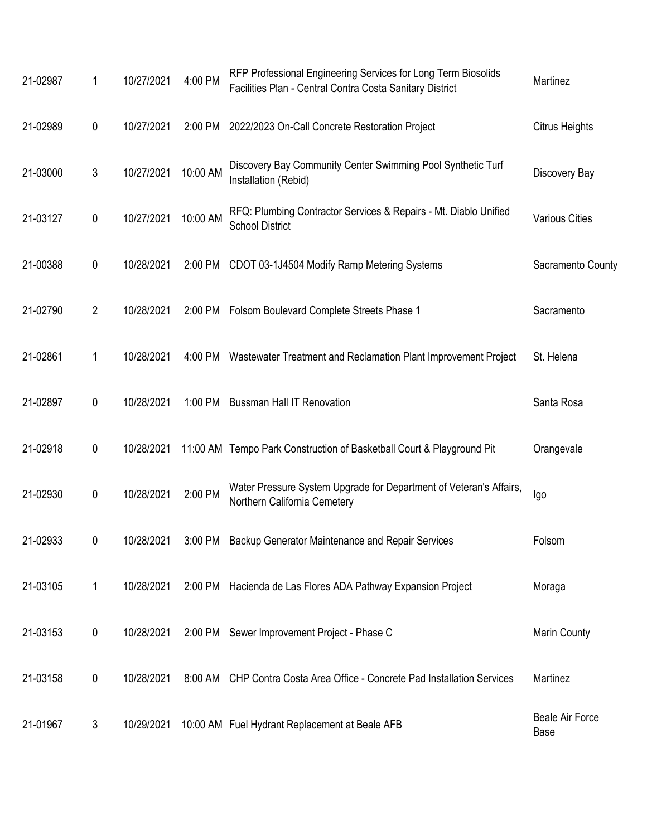| 21-02987 | 1              | 10/27/2021 | 4:00 PM  | RFP Professional Engineering Services for Long Term Biosolids<br>Facilities Plan - Central Contra Costa Sanitary District | Martinez                       |
|----------|----------------|------------|----------|---------------------------------------------------------------------------------------------------------------------------|--------------------------------|
| 21-02989 | 0              | 10/27/2021 |          | 2:00 PM 2022/2023 On-Call Concrete Restoration Project                                                                    | <b>Citrus Heights</b>          |
| 21-03000 | $\mathfrak{Z}$ | 10/27/2021 | 10:00 AM | Discovery Bay Community Center Swimming Pool Synthetic Turf<br>Installation (Rebid)                                       | Discovery Bay                  |
| 21-03127 | $\mathbf 0$    | 10/27/2021 | 10:00 AM | RFQ: Plumbing Contractor Services & Repairs - Mt. Diablo Unified<br><b>School District</b>                                | <b>Various Cities</b>          |
| 21-00388 | 0              | 10/28/2021 |          | 2:00 PM CDOT 03-1J4504 Modify Ramp Metering Systems                                                                       | Sacramento County              |
| 21-02790 | $\overline{2}$ | 10/28/2021 |          | 2:00 PM Folsom Boulevard Complete Streets Phase 1                                                                         | Sacramento                     |
| 21-02861 | 1              | 10/28/2021 |          | 4:00 PM Wastewater Treatment and Reclamation Plant Improvement Project                                                    | St. Helena                     |
| 21-02897 | 0              | 10/28/2021 |          | 1:00 PM Bussman Hall IT Renovation                                                                                        | Santa Rosa                     |
| 21-02918 | 0              | 10/28/2021 |          | 11:00 AM Tempo Park Construction of Basketball Court & Playground Pit                                                     | Orangevale                     |
| 21-02930 | 0              | 10/28/2021 | 2:00 PM  | Water Pressure System Upgrade for Department of Veteran's Affairs,<br>Northern California Cemetery                        | Igo                            |
| 21-02933 | 0              | 10/28/2021 |          | 3:00 PM Backup Generator Maintenance and Repair Services                                                                  | Folsom                         |
| 21-03105 | 1              | 10/28/2021 |          | 2:00 PM Hacienda de Las Flores ADA Pathway Expansion Project                                                              | Moraga                         |
| 21-03153 | $\pmb{0}$      | 10/28/2021 |          | 2:00 PM Sewer Improvement Project - Phase C                                                                               | Marin County                   |
| 21-03158 | 0              | 10/28/2021 |          | 8:00 AM CHP Contra Costa Area Office - Concrete Pad Installation Services                                                 | Martinez                       |
| 21-01967 | 3              | 10/29/2021 |          | 10:00 AM Fuel Hydrant Replacement at Beale AFB                                                                            | <b>Beale Air Force</b><br>Base |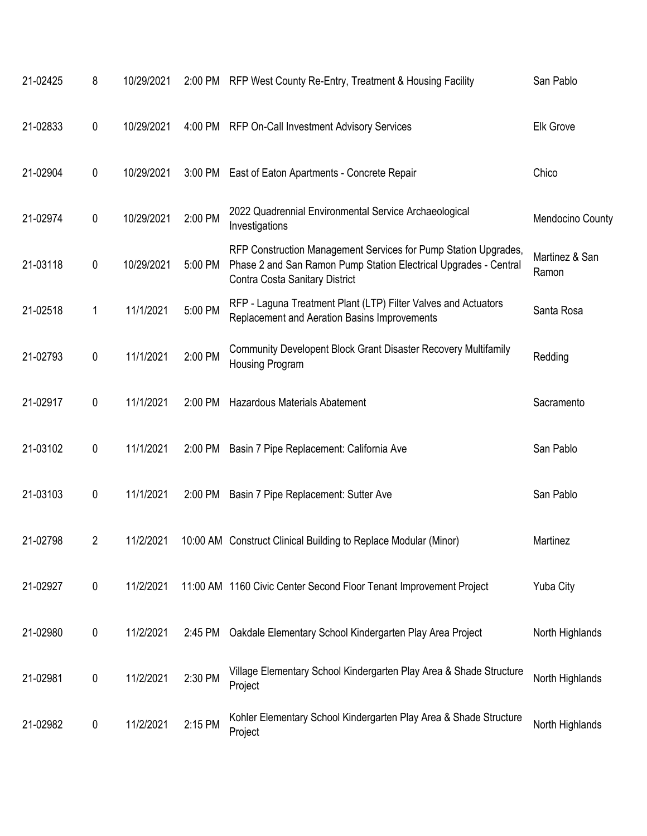| 21-02425 | 8           | 10/29/2021 |         | 2:00 PM RFP West County Re-Entry, Treatment & Housing Facility                                                                                                        | San Pablo               |
|----------|-------------|------------|---------|-----------------------------------------------------------------------------------------------------------------------------------------------------------------------|-------------------------|
| 21-02833 | 0           | 10/29/2021 |         | 4:00 PM RFP On-Call Investment Advisory Services                                                                                                                      | <b>Elk Grove</b>        |
| 21-02904 | 0           | 10/29/2021 |         | 3:00 PM East of Eaton Apartments - Concrete Repair                                                                                                                    | Chico                   |
| 21-02974 | $\mathbf 0$ | 10/29/2021 | 2:00 PM | 2022 Quadrennial Environmental Service Archaeological<br>Investigations                                                                                               | Mendocino County        |
| 21-03118 | 0           | 10/29/2021 | 5:00 PM | RFP Construction Management Services for Pump Station Upgrades,<br>Phase 2 and San Ramon Pump Station Electrical Upgrades - Central<br>Contra Costa Sanitary District | Martinez & San<br>Ramon |
| 21-02518 | 1           | 11/1/2021  | 5:00 PM | RFP - Laguna Treatment Plant (LTP) Filter Valves and Actuators<br>Replacement and Aeration Basins Improvements                                                        | Santa Rosa              |
| 21-02793 | $\pmb{0}$   | 11/1/2021  | 2:00 PM | Community Developent Block Grant Disaster Recovery Multifamily<br>Housing Program                                                                                     | Redding                 |
| 21-02917 | 0           | 11/1/2021  | 2:00 PM | Hazardous Materials Abatement                                                                                                                                         | Sacramento              |
| 21-03102 | 0           | 11/1/2021  | 2:00 PM | Basin 7 Pipe Replacement: California Ave                                                                                                                              | San Pablo               |
| 21-03103 | 0           | 11/1/2021  | 2:00 PM | Basin 7 Pipe Replacement: Sutter Ave                                                                                                                                  | San Pablo               |
| 21-02798 | 2           | 11/2/2021  |         | 10:00 AM Construct Clinical Building to Replace Modular (Minor)                                                                                                       | Martinez                |
| 21-02927 | $\mathbf 0$ | 11/2/2021  |         | 11:00 AM 1160 Civic Center Second Floor Tenant Improvement Project                                                                                                    | Yuba City               |
| 21-02980 | 0           | 11/2/2021  | 2:45 PM | Oakdale Elementary School Kindergarten Play Area Project                                                                                                              | North Highlands         |
| 21-02981 | 0           | 11/2/2021  | 2:30 PM | Village Elementary School Kindergarten Play Area & Shade Structure<br>Project                                                                                         | North Highlands         |
| 21-02982 | 0           | 11/2/2021  | 2:15 PM | Kohler Elementary School Kindergarten Play Area & Shade Structure<br>Project                                                                                          | North Highlands         |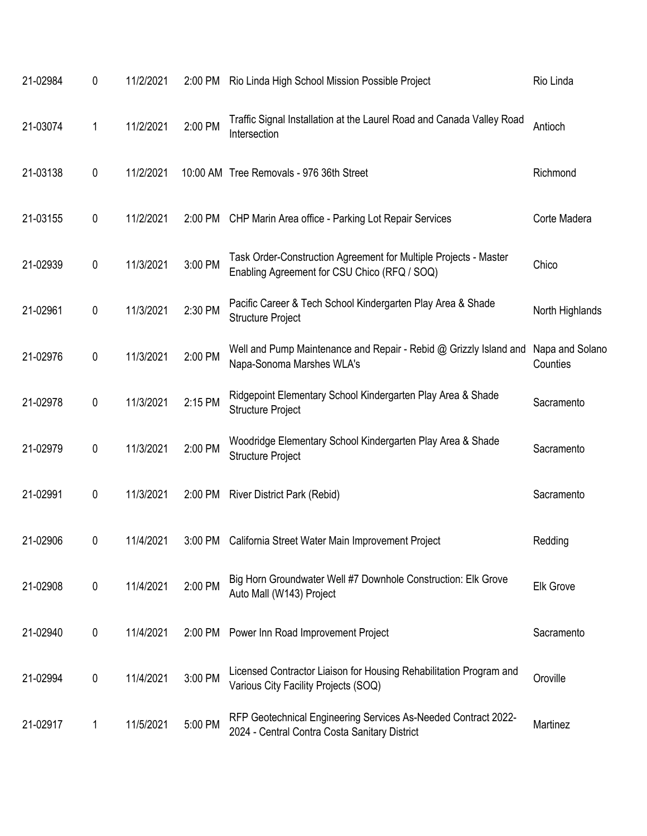| 21-02984 | 0 | 11/2/2021 | 2:00 PM | Rio Linda High School Mission Possible Project                                                                   | Rio Linda                   |
|----------|---|-----------|---------|------------------------------------------------------------------------------------------------------------------|-----------------------------|
| 21-03074 | 1 | 11/2/2021 | 2:00 PM | Traffic Signal Installation at the Laurel Road and Canada Valley Road<br>Intersection                            | Antioch                     |
| 21-03138 | 0 | 11/2/2021 |         | 10:00 AM Tree Removals - 976 36th Street                                                                         | Richmond                    |
| 21-03155 | 0 | 11/2/2021 | 2:00 PM | CHP Marin Area office - Parking Lot Repair Services                                                              | Corte Madera                |
| 21-02939 | 0 | 11/3/2021 | 3:00 PM | Task Order-Construction Agreement for Multiple Projects - Master<br>Enabling Agreement for CSU Chico (RFQ / SOQ) | Chico                       |
| 21-02961 | 0 | 11/3/2021 | 2:30 PM | Pacific Career & Tech School Kindergarten Play Area & Shade<br><b>Structure Project</b>                          | North Highlands             |
| 21-02976 | 0 | 11/3/2021 | 2:00 PM | Well and Pump Maintenance and Repair - Rebid @ Grizzly Island and<br>Napa-Sonoma Marshes WLA's                   | Napa and Solano<br>Counties |
| 21-02978 | 0 | 11/3/2021 | 2:15 PM | Ridgepoint Elementary School Kindergarten Play Area & Shade<br><b>Structure Project</b>                          | Sacramento                  |
| 21-02979 | 0 | 11/3/2021 | 2:00 PM | Woodridge Elementary School Kindergarten Play Area & Shade<br><b>Structure Project</b>                           | Sacramento                  |
| 21-02991 | 0 | 11/3/2021 | 2:00 PM | <b>River District Park (Rebid)</b>                                                                               | Sacramento                  |
| 21-02906 | 0 | 11/4/2021 | 3:00 PM | California Street Water Main Improvement Project                                                                 | Redding                     |
| 21-02908 | 0 | 11/4/2021 | 2:00 PM | Big Horn Groundwater Well #7 Downhole Construction: Elk Grove<br>Auto Mall (W143) Project                        | <b>Elk Grove</b>            |
| 21-02940 | 0 | 11/4/2021 | 2:00 PM | Power Inn Road Improvement Project                                                                               | Sacramento                  |
| 21-02994 | 0 | 11/4/2021 | 3:00 PM | Licensed Contractor Liaison for Housing Rehabilitation Program and<br>Various City Facility Projects (SOQ)       | Oroville                    |
| 21-02917 | 1 | 11/5/2021 | 5:00 PM | RFP Geotechnical Engineering Services As-Needed Contract 2022-<br>2024 - Central Contra Costa Sanitary District  | Martinez                    |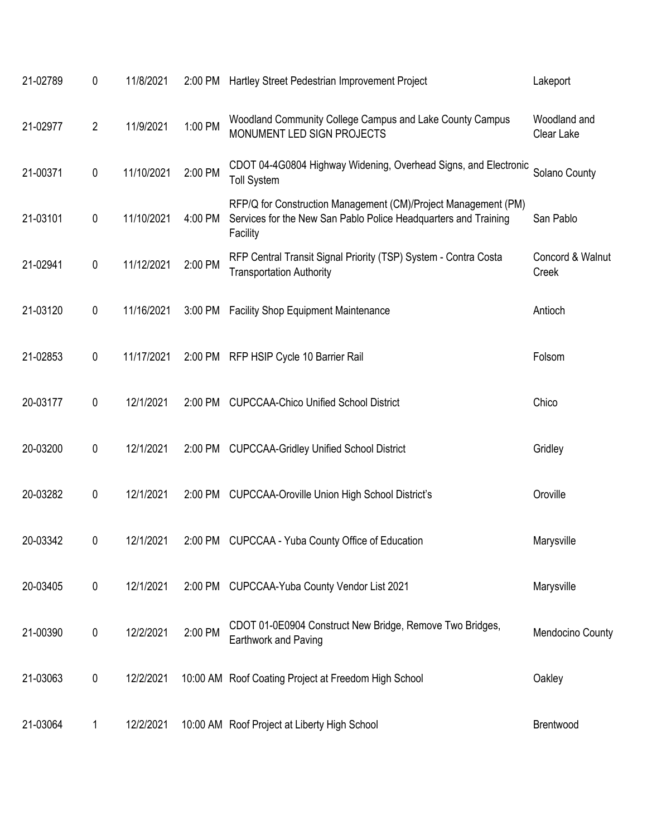| 21-02789 | $\pmb{0}$      | 11/8/2021  | 2:00 PM | Hartley Street Pedestrian Improvement Project                                                                                                 | Lakeport                   |
|----------|----------------|------------|---------|-----------------------------------------------------------------------------------------------------------------------------------------------|----------------------------|
| 21-02977 | $\overline{2}$ | 11/9/2021  | 1:00 PM | Woodland Community College Campus and Lake County Campus<br>MONUMENT LED SIGN PROJECTS                                                        | Woodland and<br>Clear Lake |
| 21-00371 | $\pmb{0}$      | 11/10/2021 | 2:00 PM | CDOT 04-4G0804 Highway Widening, Overhead Signs, and Electronic<br><b>Toll System</b>                                                         | Solano County              |
| 21-03101 | $\pmb{0}$      | 11/10/2021 | 4:00 PM | RFP/Q for Construction Management (CM)/Project Management (PM)<br>Services for the New San Pablo Police Headquarters and Training<br>Facility | San Pablo                  |
| 21-02941 | $\pmb{0}$      | 11/12/2021 | 2:00 PM | RFP Central Transit Signal Priority (TSP) System - Contra Costa<br><b>Transportation Authority</b>                                            | Concord & Walnut<br>Creek  |
| 21-03120 | $\pmb{0}$      | 11/16/2021 | 3:00 PM | <b>Facility Shop Equipment Maintenance</b>                                                                                                    | Antioch                    |
| 21-02853 | $\pmb{0}$      | 11/17/2021 |         | 2:00 PM RFP HSIP Cycle 10 Barrier Rail                                                                                                        | Folsom                     |
| 20-03177 | $\pmb{0}$      | 12/1/2021  | 2:00 PM | <b>CUPCCAA-Chico Unified School District</b>                                                                                                  | Chico                      |
| 20-03200 | $\pmb{0}$      | 12/1/2021  | 2:00 PM | <b>CUPCCAA-Gridley Unified School District</b>                                                                                                | Gridley                    |
| 20-03282 | $\pmb{0}$      | 12/1/2021  | 2:00 PM | <b>CUPCCAA-Oroville Union High School District's</b>                                                                                          | Oroville                   |
| 20-03342 | 0              | 12/1/2021  | 2:00 PM | CUPCCAA - Yuba County Office of Education                                                                                                     | Marysville                 |
| 20-03405 | $\pmb{0}$      | 12/1/2021  |         | 2:00 PM CUPCCAA-Yuba County Vendor List 2021                                                                                                  | Marysville                 |
| 21-00390 | $\pmb{0}$      | 12/2/2021  | 2:00 PM | CDOT 01-0E0904 Construct New Bridge, Remove Two Bridges,<br>Earthwork and Paving                                                              | Mendocino County           |
| 21-03063 | $\pmb{0}$      | 12/2/2021  |         | 10:00 AM Roof Coating Project at Freedom High School                                                                                          | Oakley                     |
| 21-03064 | 1              | 12/2/2021  |         | 10:00 AM Roof Project at Liberty High School                                                                                                  | Brentwood                  |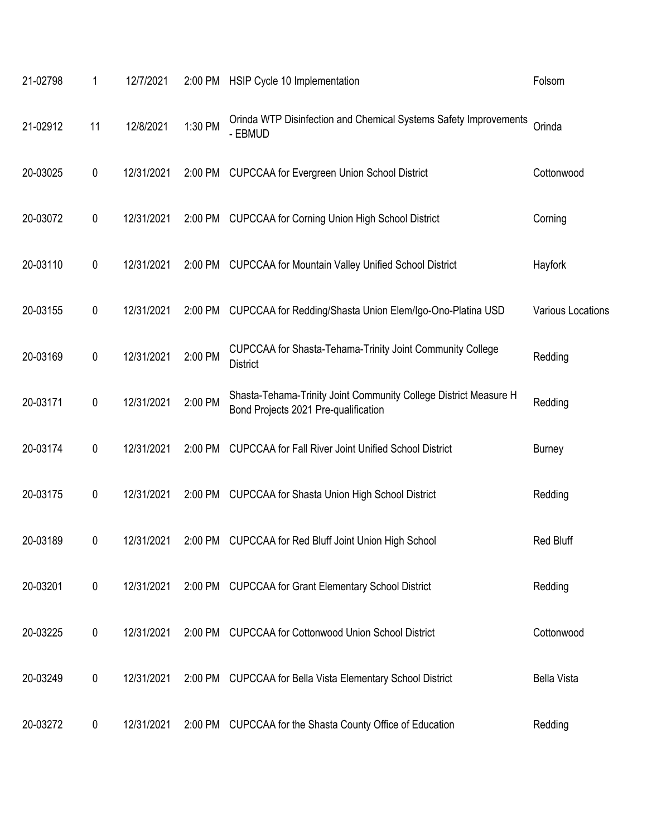| 21-02798 | 1         | 12/7/2021  | 2:00 PM | HSIP Cycle 10 Implementation                                                                             | Folsom                   |
|----------|-----------|------------|---------|----------------------------------------------------------------------------------------------------------|--------------------------|
| 21-02912 | 11        | 12/8/2021  | 1:30 PM | Orinda WTP Disinfection and Chemical Systems Safety Improvements<br>- EBMUD                              | Orinda                   |
| 20-03025 | $\pmb{0}$ | 12/31/2021 |         | 2:00 PM CUPCCAA for Evergreen Union School District                                                      | Cottonwood               |
| 20-03072 | 0         | 12/31/2021 | 2:00 PM | <b>CUPCCAA for Corning Union High School District</b>                                                    | Corning                  |
| 20-03110 | $\pmb{0}$ | 12/31/2021 | 2:00 PM | <b>CUPCCAA for Mountain Valley Unified School District</b>                                               | Hayfork                  |
| 20-03155 | $\pmb{0}$ | 12/31/2021 | 2:00 PM | CUPCCAA for Redding/Shasta Union Elem/Igo-Ono-Platina USD                                                | <b>Various Locations</b> |
| 20-03169 | $\pmb{0}$ | 12/31/2021 | 2:00 PM | CUPCCAA for Shasta-Tehama-Trinity Joint Community College<br><b>District</b>                             | Redding                  |
| 20-03171 | $\pmb{0}$ | 12/31/2021 | 2:00 PM | Shasta-Tehama-Trinity Joint Community College District Measure H<br>Bond Projects 2021 Pre-qualification | Redding                  |
| 20-03174 | $\pmb{0}$ | 12/31/2021 | 2:00 PM | <b>CUPCCAA for Fall River Joint Unified School District</b>                                              | <b>Burney</b>            |
| 20-03175 | 0         | 12/31/2021 | 2:00 PM | <b>CUPCCAA for Shasta Union High School District</b>                                                     | Redding                  |
| 20-03189 | 0         | 12/31/2021 | 2:00 PM | <b>CUPCCAA for Red Bluff Joint Union High School</b>                                                     | Red Bluff                |
| 20-03201 | $\pmb{0}$ | 12/31/2021 |         | 2:00 PM CUPCCAA for Grant Elementary School District                                                     | Redding                  |
| 20-03225 | $\pmb{0}$ | 12/31/2021 |         | 2:00 PM CUPCCAA for Cottonwood Union School District                                                     | Cottonwood               |
| 20-03249 | $\pmb{0}$ | 12/31/2021 | 2:00 PM | <b>CUPCCAA for Bella Vista Elementary School District</b>                                                | <b>Bella Vista</b>       |
| 20-03272 | $\pmb{0}$ | 12/31/2021 |         | 2:00 PM CUPCCAA for the Shasta County Office of Education                                                | Redding                  |